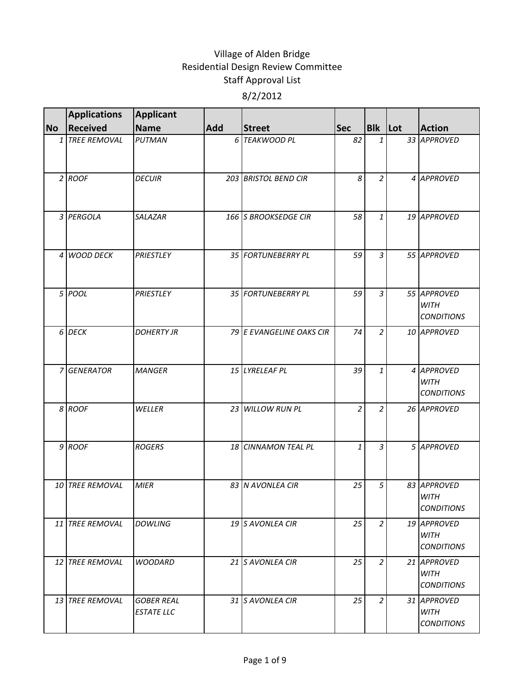|           | <b>Applications</b> | <b>Applicant</b>                       |            |                          |                |                |  |                                                 |
|-----------|---------------------|----------------------------------------|------------|--------------------------|----------------|----------------|--|-------------------------------------------------|
| <b>No</b> | <b>Received</b>     | <b>Name</b>                            | <b>Add</b> | <b>Street</b>            | <b>Sec</b>     | <b>Blk</b> Lot |  | <b>Action</b>                                   |
|           | 1 TREE REMOVAL      | <b>PUTMAN</b>                          |            | 6 TEAKWOOD PL            | 82             | $\mathbf{1}$   |  | 33 APPROVED                                     |
|           | $2$ ROOF            | <b>DECUIR</b>                          |            | 203 BRISTOL BEND CIR     | 8              | $\overline{2}$ |  | 4 APPROVED                                      |
|           | 3 PERGOLA           | <b>SALAZAR</b>                         |            | 166 S BROOKSEDGE CIR     | 58             | 1              |  | 19 APPROVED                                     |
|           | 4 WOOD DECK         | PRIESTLEY                              |            | 35 FORTUNEBERRY PL       | 59             | $\overline{3}$ |  | 55 APPROVED                                     |
|           | 5 POOL              | PRIESTLEY                              |            | 35 FORTUNEBERRY PL       | 59             | $\overline{3}$ |  | 55 APPROVED<br><b>WITH</b><br><b>CONDITIONS</b> |
|           | 6 DECK              | <b>DOHERTY JR</b>                      |            | 79 E EVANGELINE OAKS CIR | 74             | $\overline{2}$ |  | 10 APPROVED                                     |
|           | 7 GENERATOR         | <b>MANGER</b>                          |            | 15 LYRELEAF PL           | 39             | 1              |  | 4 APPROVED<br><b>WITH</b><br><b>CONDITIONS</b>  |
|           | 8 ROOF              | WELLER                                 |            | 23 WILLOW RUN PL         | $\overline{2}$ | $\overline{2}$ |  | 26 APPROVED                                     |
|           | 9 ROOF              | <b>ROGERS</b>                          |            | 18 CINNAMON TEAL PL      | $\mathbf{1}$   | $\overline{3}$ |  | 5 APPROVED                                      |
|           | 10 TREE REMOVAL     | <b>MIER</b>                            |            | 83 N AVONLEA CIR         | 25             | 5              |  | 83 APPROVED<br><b>WITH</b><br><b>CONDITIONS</b> |
|           | 11 TREE REMOVAL     | <b>DOWLING</b>                         |            | 19 S AVONLEA CIR         | 25             | $\overline{2}$ |  | 19 APPROVED<br><b>WITH</b><br><b>CONDITIONS</b> |
|           | 12 TREE REMOVAL     | <b>WOODARD</b>                         |            | 21 S AVONLEA CIR         | 25             | $\overline{2}$ |  | 21 APPROVED<br><b>WITH</b><br><b>CONDITIONS</b> |
|           | 13 TREE REMOVAL     | <b>GOBER REAL</b><br><b>ESTATE LLC</b> |            | 31 S AVONLEA CIR         | 25             | $\overline{2}$ |  | 31 APPROVED<br><b>WITH</b><br><b>CONDITIONS</b> |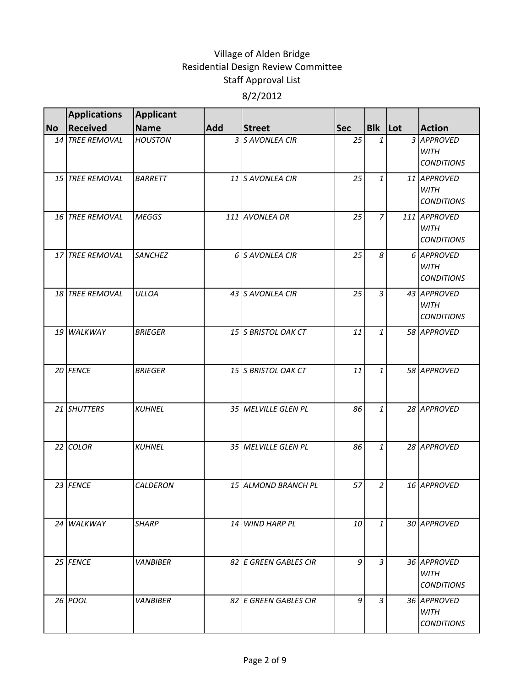|           | <b>Applications</b> | <b>Applicant</b> |     |                       |            |                |                                                  |
|-----------|---------------------|------------------|-----|-----------------------|------------|----------------|--------------------------------------------------|
| <b>No</b> | Received            | <b>Name</b>      | Add | <b>Street</b>         | <b>Sec</b> | Blk Lot        | <b>Action</b>                                    |
|           | 14 TREE REMOVAL     | <b>HOUSTON</b>   |     | 3 S AVONLEA CIR       | 25         | $\mathbf{1}$   | 3 APPROVED<br>WITH<br><b>CONDITIONS</b>          |
|           | 15 TREE REMOVAL     | <b>BARRETT</b>   |     | 11 S AVONLEA CIR      | 25         | 1              | 11 APPROVED<br><b>WITH</b><br><b>CONDITIONS</b>  |
|           | 16 TREE REMOVAL     | <b>MEGGS</b>     |     | 111 AVONLEA DR        | 25         | $\overline{7}$ | 111 APPROVED<br><b>WITH</b><br><b>CONDITIONS</b> |
|           | 17 TREE REMOVAL     | <b>SANCHEZ</b>   |     | 6 S AVONLEA CIR       | 25         | 8              | 6 APPROVED<br><b>WITH</b><br><b>CONDITIONS</b>   |
|           | 18 TREE REMOVAL     | <b>ULLOA</b>     |     | 43 S AVONLEA CIR      | 25         | $\mathfrak{Z}$ | 43 APPROVED<br><b>WITH</b><br><b>CONDITIONS</b>  |
|           | 19 WALKWAY          | <b>BRIEGER</b>   |     | 15 S BRISTOL OAK CT   | 11         | $\mathbf{1}$   | 58 APPROVED                                      |
|           | 20 FENCE            | <b>BRIEGER</b>   |     | 15 S BRISTOL OAK CT   | 11         | $\mathbf{1}$   | 58 APPROVED                                      |
|           | 21 SHUTTERS         | <b>KUHNEL</b>    |     | 35 MELVILLE GLEN PL   | 86         | $\mathbf{1}$   | 28 APPROVED                                      |
|           | 22 COLOR            | <b>KUHNEL</b>    |     | 35 MELVILLE GLEN PL   | 86         | $\mathbf{1}$   | 28 APPROVED                                      |
|           | 23 FENCE            | <b>CALDERON</b>  |     | 15 ALMOND BRANCH PL   | 57         | 2              | 16 APPROVED                                      |
|           | 24 WALKWAY          | <b>SHARP</b>     |     | 14 WIND HARP PL       | 10         | 1              | 30 APPROVED                                      |
|           | 25 FENCE            | <b>VANBIBER</b>  |     | 82 E GREEN GABLES CIR | 9          | $\overline{3}$ | 36 APPROVED<br>WITH<br><b>CONDITIONS</b>         |
|           | 26 POOL             | <b>VANBIBER</b>  |     | 82 E GREEN GABLES CIR | 9          | 3              | 36 APPROVED<br><b>WITH</b><br><b>CONDITIONS</b>  |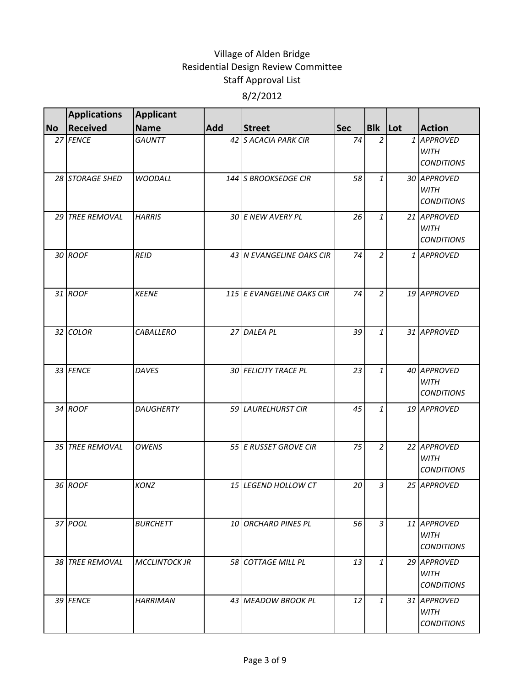|           | <b>Applications</b>    | <b>Applicant</b>     |     |                           |            |                |                                                 |
|-----------|------------------------|----------------------|-----|---------------------------|------------|----------------|-------------------------------------------------|
| <b>No</b> | Received               | <b>Name</b>          | Add | <b>Street</b>             | <b>Sec</b> | Blk Lot        | <b>Action</b>                                   |
|           | 27 FENCE               | <b>GAUNTT</b>        |     | 42 S ACACIA PARK CIR      | 74         | 2              | 1 APPROVED<br><b>WITH</b><br><b>CONDITIONS</b>  |
|           | 28 STORAGE SHED        | <b>WOODALL</b>       |     | 144 S BROOKSEDGE CIR      | 58         | 1              | 30 APPROVED<br><b>WITH</b><br><b>CONDITIONS</b> |
|           | 29 TREE REMOVAL        | <b>HARRIS</b>        |     | 30 E NEW AVERY PL         | 26         | $\mathbf{1}$   | 21 APPROVED<br><b>WITH</b><br><b>CONDITIONS</b> |
|           | 30 ROOF                | <b>REID</b>          |     | 43 N EVANGELINE OAKS CIR  | 74         | $\overline{2}$ | 1 APPROVED                                      |
|           | 31 ROOF                | <b>KEENE</b>         |     | 115 E EVANGELINE OAKS CIR | 74         | $\overline{2}$ | 19 APPROVED                                     |
|           | 32 COLOR               | <b>CABALLERO</b>     |     | 27 DALEA PL               | 39         | 1              | 31 APPROVED                                     |
|           | 33 FENCE               | <b>DAVES</b>         |     | 30 FELICITY TRACE PL      | 23         | $\mathbf{1}$   | 40 APPROVED<br><b>WITH</b><br><b>CONDITIONS</b> |
|           | 34 ROOF                | <b>DAUGHERTY</b>     |     | 59 LAURELHURST CIR        | 45         | $\mathbf{1}$   | 19 APPROVED                                     |
|           | 35 TREE REMOVAL        | <b>OWENS</b>         |     | 55 E RUSSET GROVE CIR     | 75         | $\overline{2}$ | 22 APPROVED<br><b>WITH</b><br><b>CONDITIONS</b> |
|           | 36 ROOF                | <b>KONZ</b>          |     | 15 LEGEND HOLLOW CT       | 20         | $\mathfrak{Z}$ | 25 APPROVED                                     |
|           | 37 POOL                | <b>BURCHETT</b>      |     | 10 ORCHARD PINES PL       | 56         | 3              | 11 APPROVED<br>WITH<br><i>CONDITIONS</i>        |
|           | <b>38 TREE REMOVAL</b> | <b>MCCLINTOCK JR</b> |     | <b>58 COTTAGE MILL PL</b> | 13         | $\mathbf{1}$   | 29 APPROVED<br>WITH<br><b>CONDITIONS</b>        |
|           | 39 FENCE               | <b>HARRIMAN</b>      |     | 43 MEADOW BROOK PL        | 12         | 1              | 31 APPROVED<br><b>WITH</b><br><b>CONDITIONS</b> |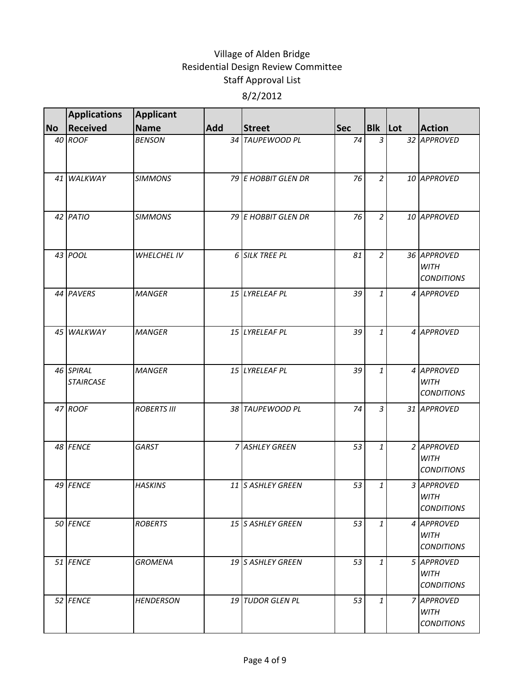|           | <b>Applications</b>           | <b>Applicant</b>   |     |                     |            |                |  |                                                 |
|-----------|-------------------------------|--------------------|-----|---------------------|------------|----------------|--|-------------------------------------------------|
| <b>No</b> | <b>Received</b>               | <b>Name</b>        | Add | <b>Street</b>       | <b>Sec</b> | Blk Lot        |  | <b>Action</b>                                   |
|           | 40 ROOF                       | <b>BENSON</b>      |     | 34 TAUPEWOOD PL     | 74         | $\overline{3}$ |  | 32 APPROVED                                     |
|           | 41 WALKWAY                    | <b>SIMMONS</b>     |     | 79 E HOBBIT GLEN DR | 76         | $\overline{2}$ |  | 10 APPROVED                                     |
|           | 42 PATIO                      | <b>SIMMONS</b>     |     | 79 E HOBBIT GLEN DR | 76         | $\overline{2}$ |  | 10 APPROVED                                     |
|           | 43 POOL                       | <b>WHELCHEL IV</b> |     | 6 SILK TREE PL      | 81         | $\overline{2}$ |  | 36 APPROVED<br><b>WITH</b><br><b>CONDITIONS</b> |
|           | 44 PAVERS                     | <b>MANGER</b>      |     | 15 LYRELEAF PL      | 39         | $\mathbf{1}$   |  | 4 APPROVED                                      |
|           | 45 WALKWAY                    | <b>MANGER</b>      |     | 15 LYRELEAF PL      | 39         | $\mathbf{1}$   |  | 4 APPROVED                                      |
|           | 46 SPIRAL<br><b>STAIRCASE</b> | <b>MANGER</b>      |     | 15 LYRELEAF PL      | 39         | $\mathbf{1}$   |  | 4 APPROVED<br><b>WITH</b><br><b>CONDITIONS</b>  |
|           | 47 ROOF                       | <b>ROBERTS III</b> |     | 38 TAUPEWOOD PL     | 74         | 3              |  | 31 APPROVED                                     |
|           | 48 FENCE                      | GARST              |     | 7 ASHLEY GREEN      | 53         | $\mathbf{1}$   |  | 2 APPROVED<br><b>WITH</b><br><b>CONDITIONS</b>  |
|           | 49 FENCE                      | <b>HASKINS</b>     |     | 11 S ASHLEY GREEN   | 53         | 1              |  | 3 APPROVED<br><b>WITH</b><br><b>CONDITIONS</b>  |
|           | 50 FENCE                      | <b>ROBERTS</b>     |     | 15 S ASHLEY GREEN   | 53         | $\mathbf{1}$   |  | 4 APPROVED<br><b>WITH</b><br><b>CONDITIONS</b>  |
|           | 51 FENCE                      | <b>GROMENA</b>     |     | 19 S ASHLEY GREEN   | 53         | $\mathbf{1}$   |  | 5 APPROVED<br><b>WITH</b><br><b>CONDITIONS</b>  |
|           | 52 FENCE                      | <b>HENDERSON</b>   |     | 19 TUDOR GLEN PL    | 53         | 1              |  | 7 APPROVED<br>WITH<br><b>CONDITIONS</b>         |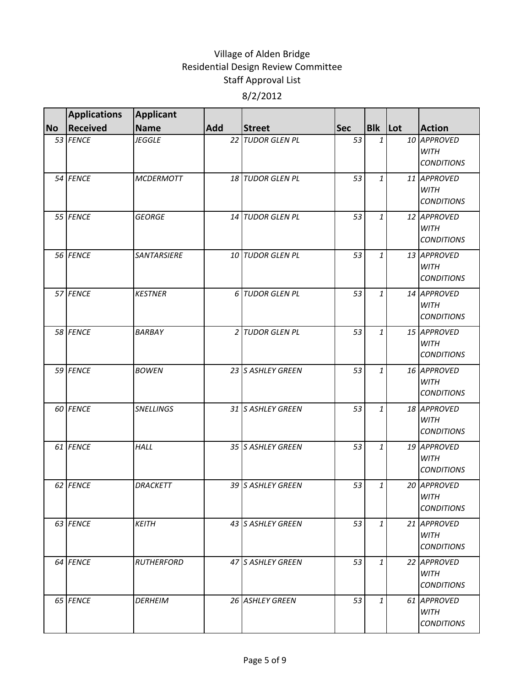|           | <b>Applications</b> | Applicant         |     |                    |            |                |                                                 |
|-----------|---------------------|-------------------|-----|--------------------|------------|----------------|-------------------------------------------------|
| <b>No</b> | <b>Received</b>     | <b>Name</b>       | Add | <b>Street</b>      | <b>Sec</b> | <b>Blk</b> Lot | <b>Action</b>                                   |
|           | 53 FENCE            | <b>JEGGLE</b>     |     | 22 TUDOR GLEN PL   | 53         | $\mathbf{1}$   | 10 APPROVED<br><b>WITH</b><br><b>CONDITIONS</b> |
|           | 54 FENCE            | <b>MCDERMOTT</b>  |     | 18 TUDOR GLEN PL   | 53         | 1              | 11 APPROVED<br><b>WITH</b><br><b>CONDITIONS</b> |
|           | 55 FENCE            | <b>GEORGE</b>     |     | 14 TUDOR GLEN PL   | 53         | $\mathbf{1}$   | 12 APPROVED<br><b>WITH</b><br><b>CONDITIONS</b> |
|           | 56 FENCE            | SANTARSIERE       |     | 10 TUDOR GLEN PL   | 53         | $\mathbf{1}$   | 13 APPROVED<br><b>WITH</b><br><b>CONDITIONS</b> |
|           | 57 FENCE            | <b>KESTNER</b>    |     | 6 TUDOR GLEN PL    | 53         | 1              | 14 APPROVED<br><b>WITH</b><br><b>CONDITIONS</b> |
|           | 58 FENCE            | <b>BARBAY</b>     |     | 2 TUDOR GLEN PL    | 53         | 1              | 15 APPROVED<br><b>WITH</b><br><b>CONDITIONS</b> |
|           | 59 FENCE            | <b>BOWEN</b>      |     | 23 S ASHLEY GREEN  | 53         | $\mathbf{1}$   | 16 APPROVED<br><b>WITH</b><br><b>CONDITIONS</b> |
|           | 60 FENCE            | <b>SNELLINGS</b>  |     | 31 S ASHLEY GREEN  | 53         | 1              | 18 APPROVED<br><b>WITH</b><br><b>CONDITIONS</b> |
|           | 61 FENCE            | <b>HALL</b>       |     | 35 S ASHLEY GREEN  | 53         | $\mathbf{1}$   | 19 APPROVED<br><b>WITH</b><br><b>CONDITIONS</b> |
|           | 62 FENCE            | <b>DRACKETT</b>   |     | 39 IS ASHLEY GREEN | 53         | 1              | 20 APPROVED<br><b>WITH</b><br><b>CONDITIONS</b> |
|           | 63 FENCE            | <b>KEITH</b>      |     | 43 S ASHLEY GREEN  | 53         | $\mathbf{1}$   | 21 APPROVED<br><b>WITH</b><br><b>CONDITIONS</b> |
|           | 64 FENCE            | <b>RUTHERFORD</b> |     | 47 S ASHLEY GREEN  | 53         | $\mathbf{1}$   | 22 APPROVED<br><b>WITH</b><br><b>CONDITIONS</b> |
|           | 65 FENCE            | <b>DERHEIM</b>    |     | 26 ASHLEY GREEN    | 53         | 1              | 61 APPROVED<br>WITH<br><b>CONDITIONS</b>        |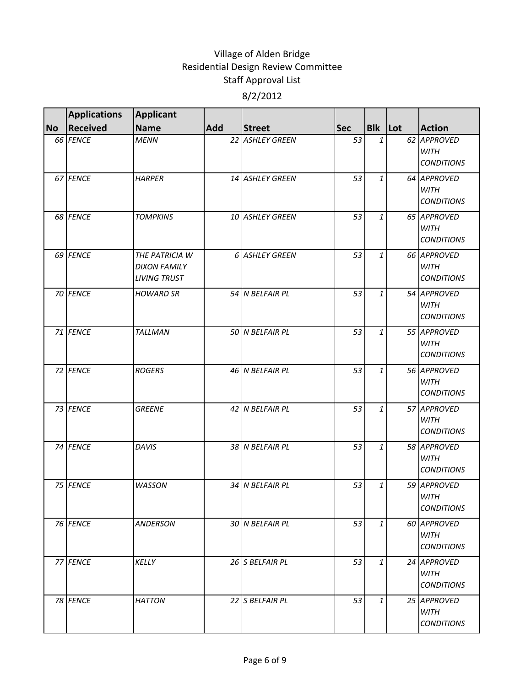|           | <b>Applications</b> | <b>Applicant</b>                                             |     |                  |            |              |                                                 |
|-----------|---------------------|--------------------------------------------------------------|-----|------------------|------------|--------------|-------------------------------------------------|
| <b>No</b> | <b>Received</b>     | <b>Name</b>                                                  | Add | <b>Street</b>    | <b>Sec</b> | Blk Lot      | <b>Action</b>                                   |
|           | 66 FENCE            | <b>MENN</b>                                                  |     | 22 ASHLEY GREEN  | 53         | $\mathbf{1}$ | 62 APPROVED<br><b>WITH</b><br><b>CONDITIONS</b> |
|           | 67 FENCE            | <b>HARPER</b>                                                |     | 14 ASHLEY GREEN  | 53         | 1            | 64 APPROVED<br><b>WITH</b><br><b>CONDITIONS</b> |
|           | 68 FENCE            | <b>TOMPKINS</b>                                              |     | 10 ASHLEY GREEN  | 53         | $\mathbf{1}$ | 65 APPROVED<br><b>WITH</b><br><b>CONDITIONS</b> |
|           | 69 FENCE            | THE PATRICIA W<br><b>DIXON FAMILY</b><br><b>LIVING TRUST</b> |     | 6 ASHLEY GREEN   | 53         | $\mathbf{1}$ | 66 APPROVED<br><b>WITH</b><br><b>CONDITIONS</b> |
|           | 70 FENCE            | <b>HOWARD SR</b>                                             |     | 54 N BELFAIR PL  | 53         | 1            | 54 APPROVED<br><b>WITH</b><br><b>CONDITIONS</b> |
|           | 71 FENCE            | <b>TALLMAN</b>                                               |     | 50 N BELFAIR PL  | 53         | 1            | 55 APPROVED<br><b>WITH</b><br><b>CONDITIONS</b> |
|           | 72 FENCE            | <b>ROGERS</b>                                                |     | 46 N BELFAIR PL  | 53         | $\mathbf{1}$ | 56 APPROVED<br><b>WITH</b><br><b>CONDITIONS</b> |
|           | 73 FENCE            | <b>GREENE</b>                                                |     | 42 N BELFAIR PL  | 53         | 1            | 57 APPROVED<br><b>WITH</b><br><b>CONDITIONS</b> |
|           | 74 FENCE            | <b>DAVIS</b>                                                 |     | 38 N BELFAIR PL  | 53         | $\mathbf{1}$ | 58 APPROVED<br><b>WITH</b><br><b>CONDITIONS</b> |
|           | 75 FENCE            | <b>WASSON</b>                                                |     | 34 IN BELFAIR PL | 53         | 1            | 59 APPROVED<br><b>WITH</b><br><b>CONDITIONS</b> |
|           | 76 FENCE            | <b>ANDERSON</b>                                              |     | 30 N BELFAIR PL  | 53         | $\mathbf{1}$ | 60 APPROVED<br><b>WITH</b><br><b>CONDITIONS</b> |
|           | 77 FENCE            | KELLY                                                        |     | 26 S BELFAIR PL  | 53         | $\mathbf{1}$ | 24 APPROVED<br><b>WITH</b><br><b>CONDITIONS</b> |
|           | 78 FENCE            | <b>HATTON</b>                                                |     | 22 S BELFAIR PL  | 53         | 1            | 25 APPROVED<br>WITH<br><b>CONDITIONS</b>        |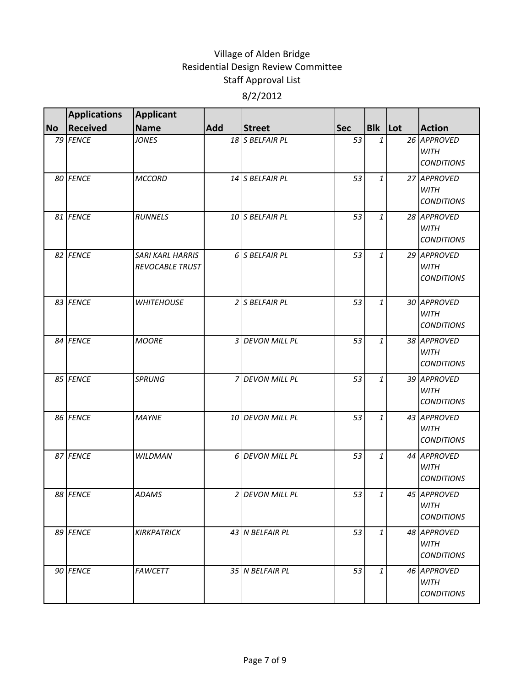|           | <b>Applications</b> | <b>Applicant</b>                                  |     |                  |            |                |                                                 |
|-----------|---------------------|---------------------------------------------------|-----|------------------|------------|----------------|-------------------------------------------------|
| <b>No</b> | <b>Received</b>     | <b>Name</b>                                       | Add | <b>Street</b>    | <b>Sec</b> | <b>Blk</b> Lot | <b>Action</b>                                   |
|           | 79 FENCE            | <b>JONES</b>                                      |     | 18 S BELFAIR PL  | 53         | 1              | 26 APPROVED<br><b>WITH</b><br><b>CONDITIONS</b> |
|           | 80 FENCE            | <b>MCCORD</b>                                     |     | 14 S BELFAIR PL  | 53         | 1              | 27 APPROVED<br><b>WITH</b><br><b>CONDITIONS</b> |
|           | 81 FENCE            | <b>RUNNELS</b>                                    |     | 10 S BELFAIR PL  | 53         | $\mathbf{1}$   | 28 APPROVED<br><b>WITH</b><br><b>CONDITIONS</b> |
|           | 82 FENCE            | <b>SARI KARL HARRIS</b><br><b>REVOCABLE TRUST</b> |     | 6 S BELFAIR PL   | 53         | $\mathbf{1}$   | 29 APPROVED<br><b>WITH</b><br><b>CONDITIONS</b> |
|           | 83 FENCE            | <b>WHITEHOUSE</b>                                 |     | 2 S BELFAIR PL   | 53         | $\mathbf{1}$   | 30 APPROVED<br><b>WITH</b><br><b>CONDITIONS</b> |
|           | 84 FENCE            | <b>MOORE</b>                                      |     | 3 DEVON MILL PL  | 53         | 1              | 38 APPROVED<br><b>WITH</b><br><b>CONDITIONS</b> |
|           | 85 FENCE            | <b>SPRUNG</b>                                     |     | 7 DEVON MILL PL  | 53         | 1              | 39 APPROVED<br><b>WITH</b><br><b>CONDITIONS</b> |
|           | 86 FENCE            | <b>MAYNE</b>                                      |     | 10 DEVON MILL PL | 53         | 1              | 43 APPROVED<br><b>WITH</b><br><b>CONDITIONS</b> |
|           | 87 FENCE            | <b>WILDMAN</b>                                    |     | 6 DEVON MILL PL  | 53         | 1              | 44 APPROVED<br><b>WITH</b><br><b>CONDITIONS</b> |
|           | 88 FENCE            | <b>ADAMS</b>                                      |     | 2 DEVON MILL PL  | 53         | $1\vert$       | 45 APPROVED<br><b>WITH</b><br><b>CONDITIONS</b> |
|           | 89 FENCE            | <b>KIRKPATRICK</b>                                |     | 43 N BELFAIR PL  | 53         | 1              | 48 APPROVED<br><b>WITH</b><br><b>CONDITIONS</b> |
|           | 90 FENCE            | <b>FAWCETT</b>                                    |     | 35 N BELFAIR PL  | 53         | 1              | 46 APPROVED<br>WITH<br><b>CONDITIONS</b>        |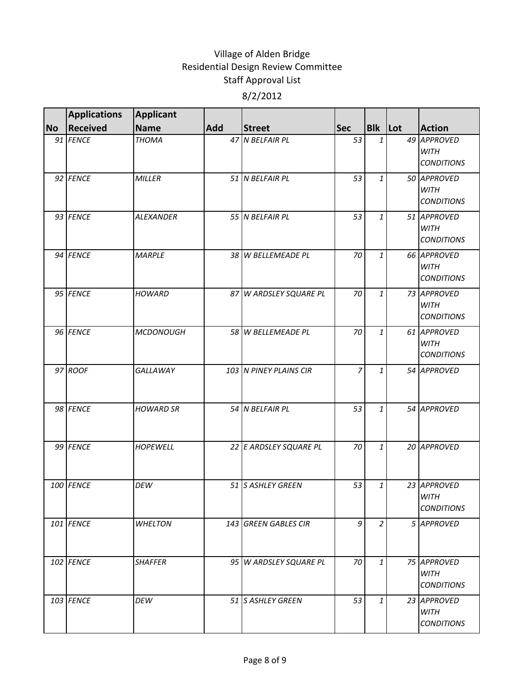|           | <b>Applications</b> | <b>Applicant</b> |     |                        |                |                |                                                 |
|-----------|---------------------|------------------|-----|------------------------|----------------|----------------|-------------------------------------------------|
| <b>No</b> | Received            | <b>Name</b>      | Add | <b>Street</b>          | <b>Sec</b>     | Blk Lot        | <b>Action</b>                                   |
|           | 91 FENCE            | <b>THOMA</b>     |     | 47 N BELFAIR PL        | 53             | 1              | 49 APPROVED<br><b>WITH</b><br><b>CONDITIONS</b> |
|           | 92 FENCE            | <b>MILLER</b>    |     | 51 N BELFAIR PL        | 53             | 1              | 50 APPROVED<br><b>WITH</b><br><b>CONDITIONS</b> |
|           | 93 FENCE            | <b>ALEXANDER</b> |     | 55 N BELFAIR PL        | 53             | 1              | 51 APPROVED<br><b>WITH</b><br><b>CONDITIONS</b> |
|           | 94 FENCE            | <b>MARPLE</b>    |     | 38 W BELLEMEADE PL     | 70             | 1              | 66 APPROVED<br><b>WITH</b><br><b>CONDITIONS</b> |
|           | 95 FENCE            | <b>HOWARD</b>    |     | 87 W ARDSLEY SQUARE PL | 70             | 1              | 73 APPROVED<br><b>WITH</b><br><b>CONDITIONS</b> |
|           | 96 FENCE            | <b>MCDONOUGH</b> |     | 58 W BELLEMEADE PL     | 70             | 1              | 61 APPROVED<br><b>WITH</b><br><b>CONDITIONS</b> |
|           | 97 ROOF             | GALLAWAY         |     | 103 N PINEY PLAINS CIR | $\overline{z}$ | 1              | 54 APPROVED                                     |
|           | 98 FENCE            | <b>HOWARD SR</b> |     | 54 N BELFAIR PL        | 53             | $\mathbf{1}$   | 54 APPROVED                                     |
|           | 99 FENCE            | <b>HOPEWELL</b>  |     | 22 E ARDSLEY SQUARE PL | 70             | 1              | 20 APPROVED                                     |
|           | 100 FENCE           | <b>DEW</b>       |     | 51 S ASHLEY GREEN      | 53             | 1              | 23 APPROVED<br><b>WITH</b><br><b>CONDITIONS</b> |
|           | 101 FENCE           | <b>WHELTON</b>   |     | 143 GREEN GABLES CIR   | 9              | $\overline{2}$ | 5 APPROVED                                      |
|           | 102 FENCE           | <b>SHAFFER</b>   |     | 95 W ARDSLEY SQUARE PL | 70             | $\mathbf{1}$   | 75 APPROVED<br><b>WITH</b><br><b>CONDITIONS</b> |
|           | 103 FENCE           | DEW              |     | 51 S ASHLEY GREEN      | 53             | $\mathbf{1}$   | 23 APPROVED<br><b>WITH</b><br><b>CONDITIONS</b> |